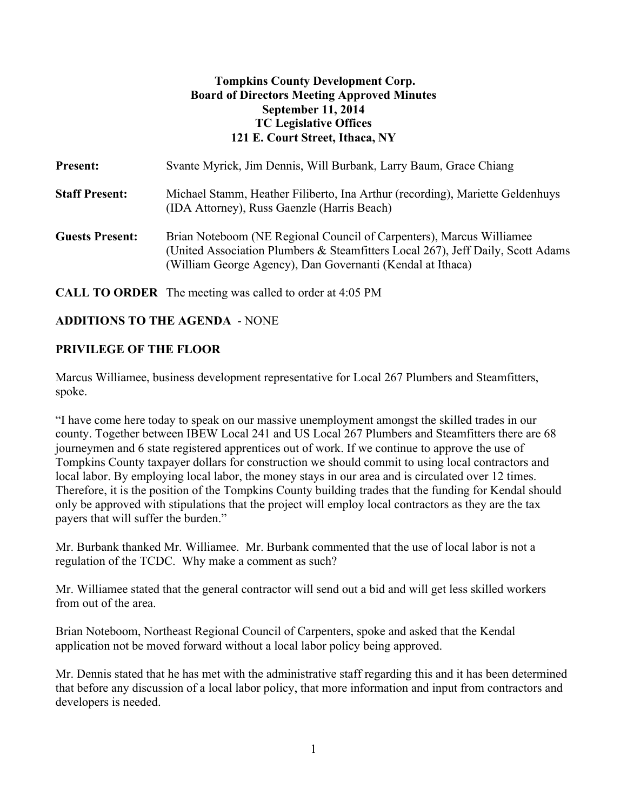#### **Tompkins County Development Corp. Board of Directors Meeting Approved Minutes September 11, 2014 TC Legislative Offices 121 E. Court Street, Ithaca, NY**

| <b>Present:</b>        | Svante Myrick, Jim Dennis, Will Burbank, Larry Baum, Grace Chiang                                                                                                                                                     |
|------------------------|-----------------------------------------------------------------------------------------------------------------------------------------------------------------------------------------------------------------------|
| <b>Staff Present:</b>  | Michael Stamm, Heather Filiberto, Ina Arthur (recording), Mariette Geldenhuys<br>(IDA Attorney), Russ Gaenzle (Harris Beach)                                                                                          |
| <b>Guests Present:</b> | Brian Noteboom (NE Regional Council of Carpenters), Marcus Williamee<br>(United Association Plumbers & Steamfitters Local 267), Jeff Daily, Scott Adams<br>(William George Agency), Dan Governanti (Kendal at Ithaca) |

**CALL TO ORDER** The meeting was called to order at 4:05 PM

## **ADDITIONS TO THE AGENDA** - NONE

#### **PRIVILEGE OF THE FLOOR**

Marcus Williamee, business development representative for Local 267 Plumbers and Steamfitters, spoke.

"I have come here today to speak on our massive unemployment amongst the skilled trades in our county. Together between IBEW Local 241 and US Local 267 Plumbers and Steamfitters there are 68 journeymen and 6 state registered apprentices out of work. If we continue to approve the use of Tompkins County taxpayer dollars for construction we should commit to using local contractors and local labor. By employing local labor, the money stays in our area and is circulated over 12 times. Therefore, it is the position of the Tompkins County building trades that the funding for Kendal should only be approved with stipulations that the project will employ local contractors as they are the tax payers that will suffer the burden."

Mr. Burbank thanked Mr. Williamee. Mr. Burbank commented that the use of local labor is not a regulation of the TCDC. Why make a comment as such?

Mr. Williamee stated that the general contractor will send out a bid and will get less skilled workers from out of the area.

Brian Noteboom, Northeast Regional Council of Carpenters, spoke and asked that the Kendal application not be moved forward without a local labor policy being approved.

Mr. Dennis stated that he has met with the administrative staff regarding this and it has been determined that before any discussion of a local labor policy, that more information and input from contractors and developers is needed.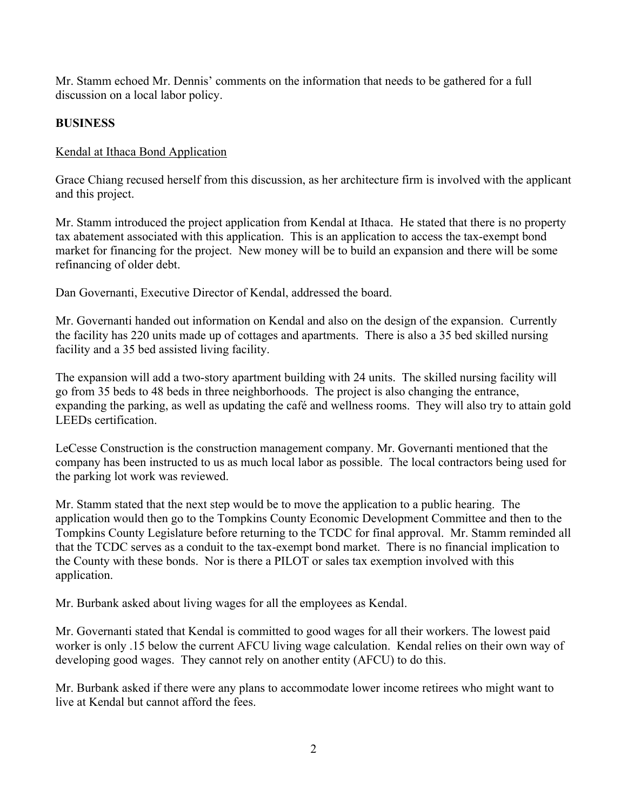Mr. Stamm echoed Mr. Dennis' comments on the information that needs to be gathered for a full discussion on a local labor policy.

## **BUSINESS**

## Kendal at Ithaca Bond Application

Grace Chiang recused herself from this discussion, as her architecture firm is involved with the applicant and this project.

Mr. Stamm introduced the project application from Kendal at Ithaca. He stated that there is no property tax abatement associated with this application. This is an application to access the tax-exempt bond market for financing for the project. New money will be to build an expansion and there will be some refinancing of older debt.

Dan Governanti, Executive Director of Kendal, addressed the board.

Mr. Governanti handed out information on Kendal and also on the design of the expansion. Currently the facility has 220 units made up of cottages and apartments. There is also a 35 bed skilled nursing facility and a 35 bed assisted living facility.

The expansion will add a two-story apartment building with 24 units. The skilled nursing facility will go from 35 beds to 48 beds in three neighborhoods. The project is also changing the entrance, expanding the parking, as well as updating the café and wellness rooms. They will also try to attain gold LEEDs certification.

LeCesse Construction is the construction management company. Mr. Governanti mentioned that the company has been instructed to us as much local labor as possible. The local contractors being used for the parking lot work was reviewed.

Mr. Stamm stated that the next step would be to move the application to a public hearing. The application would then go to the Tompkins County Economic Development Committee and then to the Tompkins County Legislature before returning to the TCDC for final approval. Mr. Stamm reminded all that the TCDC serves as a conduit to the tax-exempt bond market. There is no financial implication to the County with these bonds. Nor is there a PILOT or sales tax exemption involved with this application.

Mr. Burbank asked about living wages for all the employees as Kendal.

Mr. Governanti stated that Kendal is committed to good wages for all their workers. The lowest paid worker is only .15 below the current AFCU living wage calculation. Kendal relies on their own way of developing good wages. They cannot rely on another entity (AFCU) to do this.

Mr. Burbank asked if there were any plans to accommodate lower income retirees who might want to live at Kendal but cannot afford the fees.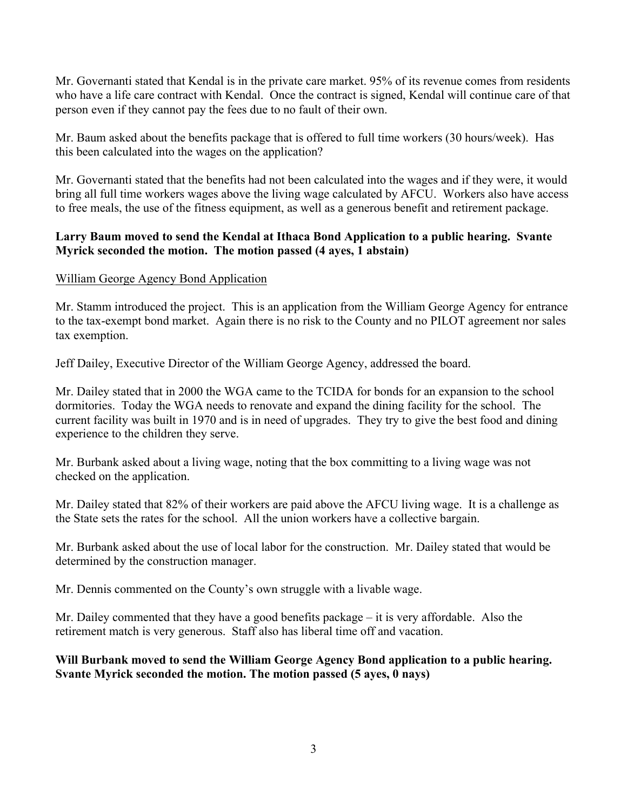Mr. Governanti stated that Kendal is in the private care market. 95% of its revenue comes from residents who have a life care contract with Kendal. Once the contract is signed, Kendal will continue care of that person even if they cannot pay the fees due to no fault of their own.

Mr. Baum asked about the benefits package that is offered to full time workers (30 hours/week). Has this been calculated into the wages on the application?

Mr. Governanti stated that the benefits had not been calculated into the wages and if they were, it would bring all full time workers wages above the living wage calculated by AFCU. Workers also have access to free meals, the use of the fitness equipment, as well as a generous benefit and retirement package.

## **Larry Baum moved to send the Kendal at Ithaca Bond Application to a public hearing. Svante Myrick seconded the motion. The motion passed (4 ayes, 1 abstain)**

## William George Agency Bond Application

Mr. Stamm introduced the project. This is an application from the William George Agency for entrance to the tax-exempt bond market. Again there is no risk to the County and no PILOT agreement nor sales tax exemption.

Jeff Dailey, Executive Director of the William George Agency, addressed the board.

Mr. Dailey stated that in 2000 the WGA came to the TCIDA for bonds for an expansion to the school dormitories. Today the WGA needs to renovate and expand the dining facility for the school. The current facility was built in 1970 and is in need of upgrades. They try to give the best food and dining experience to the children they serve.

Mr. Burbank asked about a living wage, noting that the box committing to a living wage was not checked on the application.

Mr. Dailey stated that 82% of their workers are paid above the AFCU living wage. It is a challenge as the State sets the rates for the school. All the union workers have a collective bargain.

Mr. Burbank asked about the use of local labor for the construction. Mr. Dailey stated that would be determined by the construction manager.

Mr. Dennis commented on the County's own struggle with a livable wage.

Mr. Dailey commented that they have a good benefits package – it is very affordable. Also the retirement match is very generous. Staff also has liberal time off and vacation.

# **Will Burbank moved to send the William George Agency Bond application to a public hearing. Svante Myrick seconded the motion. The motion passed (5 ayes, 0 nays)**